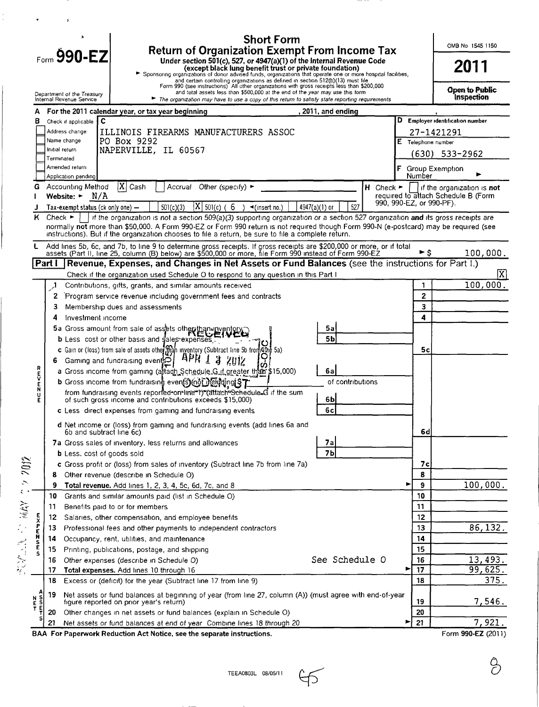| <b>Return of Organization Exempt From Income Tax</b><br>$F_{\text{form}}$ 990-EZ<br>Under section 501(c), 527, or 4947(a)(1) of the Internal Revenue Code<br>(except black lung benefit trust or private foundation)<br>> Sponsoring organizations of donor advised funds, organizations that operate one or more hospital facilities,<br>and certain controlling organizations as defined in section 512(b)(13) must file<br>Form 990 (see instructions) All other organizations with gross receipts less than \$200,000<br>and total assets less than \$500,000 at the end of the year may use this form<br>Department of the Treasury<br>Internal Revenue Service<br>The organization may have to use a copy of this return to satisfy state reporting requirements<br>For the 2011 calendar year, or tax year beginning<br>, 2011, and ending<br>Check if applicable $\sqrt{C}$<br>в<br>Address change<br>ILLINOIS FIREARMS MANUFACTURERS ASSOC<br>PO Box 9292<br>Name change<br>NAPERVILLE, IL 60567<br>Initial return<br>Terminated<br>Amended return<br>Application pending<br>$ X $ Cash<br><b>Accounting Method</b><br>Accrual<br>Other (specity) $\blacktriangleright$<br>G<br>н.<br>Check $\blacktriangleright$  <br>Website: $\blacktriangleright$ N/A<br>$ X $ 501(c) ( 6 ) < (insert no.)<br>501(c)(3)<br>527<br>$4947(a)(1)$ or<br>Tax-exempt status (ck only one) -<br>if the organization is not a section 509(a)(3) supporting organization or a section 527 organization and its gross receipts are<br>ĸ<br>Check $\blacktriangleright$<br>normally not more than \$50,000. A Form 990-EZ or Form 990 return is not required though Form 990-N (e-postcard) may be required (see | E Telephone number<br>Number | 2011<br>Open to Public<br>Inspection<br>D Employer identification number<br>27-1421291<br>$(630)$ 533-2962<br>F Group Exemption |  |  |
|-----------------------------------------------------------------------------------------------------------------------------------------------------------------------------------------------------------------------------------------------------------------------------------------------------------------------------------------------------------------------------------------------------------------------------------------------------------------------------------------------------------------------------------------------------------------------------------------------------------------------------------------------------------------------------------------------------------------------------------------------------------------------------------------------------------------------------------------------------------------------------------------------------------------------------------------------------------------------------------------------------------------------------------------------------------------------------------------------------------------------------------------------------------------------------------------------------------------------------------------------------------------------------------------------------------------------------------------------------------------------------------------------------------------------------------------------------------------------------------------------------------------------------------------------------------------------------------------------------------------------------------------------------------------------------------------------------|------------------------------|---------------------------------------------------------------------------------------------------------------------------------|--|--|
|                                                                                                                                                                                                                                                                                                                                                                                                                                                                                                                                                                                                                                                                                                                                                                                                                                                                                                                                                                                                                                                                                                                                                                                                                                                                                                                                                                                                                                                                                                                                                                                                                                                                                                     |                              |                                                                                                                                 |  |  |
|                                                                                                                                                                                                                                                                                                                                                                                                                                                                                                                                                                                                                                                                                                                                                                                                                                                                                                                                                                                                                                                                                                                                                                                                                                                                                                                                                                                                                                                                                                                                                                                                                                                                                                     |                              |                                                                                                                                 |  |  |
|                                                                                                                                                                                                                                                                                                                                                                                                                                                                                                                                                                                                                                                                                                                                                                                                                                                                                                                                                                                                                                                                                                                                                                                                                                                                                                                                                                                                                                                                                                                                                                                                                                                                                                     |                              |                                                                                                                                 |  |  |
|                                                                                                                                                                                                                                                                                                                                                                                                                                                                                                                                                                                                                                                                                                                                                                                                                                                                                                                                                                                                                                                                                                                                                                                                                                                                                                                                                                                                                                                                                                                                                                                                                                                                                                     |                              |                                                                                                                                 |  |  |
|                                                                                                                                                                                                                                                                                                                                                                                                                                                                                                                                                                                                                                                                                                                                                                                                                                                                                                                                                                                                                                                                                                                                                                                                                                                                                                                                                                                                                                                                                                                                                                                                                                                                                                     |                              |                                                                                                                                 |  |  |
|                                                                                                                                                                                                                                                                                                                                                                                                                                                                                                                                                                                                                                                                                                                                                                                                                                                                                                                                                                                                                                                                                                                                                                                                                                                                                                                                                                                                                                                                                                                                                                                                                                                                                                     |                              |                                                                                                                                 |  |  |
|                                                                                                                                                                                                                                                                                                                                                                                                                                                                                                                                                                                                                                                                                                                                                                                                                                                                                                                                                                                                                                                                                                                                                                                                                                                                                                                                                                                                                                                                                                                                                                                                                                                                                                     |                              |                                                                                                                                 |  |  |
|                                                                                                                                                                                                                                                                                                                                                                                                                                                                                                                                                                                                                                                                                                                                                                                                                                                                                                                                                                                                                                                                                                                                                                                                                                                                                                                                                                                                                                                                                                                                                                                                                                                                                                     |                              |                                                                                                                                 |  |  |
|                                                                                                                                                                                                                                                                                                                                                                                                                                                                                                                                                                                                                                                                                                                                                                                                                                                                                                                                                                                                                                                                                                                                                                                                                                                                                                                                                                                                                                                                                                                                                                                                                                                                                                     |                              |                                                                                                                                 |  |  |
|                                                                                                                                                                                                                                                                                                                                                                                                                                                                                                                                                                                                                                                                                                                                                                                                                                                                                                                                                                                                                                                                                                                                                                                                                                                                                                                                                                                                                                                                                                                                                                                                                                                                                                     |                              | If the organization is not<br>required to attach Schedule B (Form<br>990, 990-EZ, or 990-PF).                                   |  |  |
| instructions). But if the organization chooses to file a return, be sure to file a complete return.                                                                                                                                                                                                                                                                                                                                                                                                                                                                                                                                                                                                                                                                                                                                                                                                                                                                                                                                                                                                                                                                                                                                                                                                                                                                                                                                                                                                                                                                                                                                                                                                 |                              |                                                                                                                                 |  |  |
| Add lines 5b, 6c, and 7b, to line 9 to determine gross receipts. If gross receipts are \$200,000 or more, or if total assets (Part II, line 25, column (B) below) are \$500,000 or more, file Form 990 instead of Form 990-EZ                                                                                                                                                                                                                                                                                                                                                                                                                                                                                                                                                                                                                                                                                                                                                                                                                                                                                                                                                                                                                                                                                                                                                                                                                                                                                                                                                                                                                                                                       | ► Ś                          | 100,000.                                                                                                                        |  |  |
| (Revenue, Expenses, and Changes in Net Assets or Fund Balances (see the instructions for Part I.)<br>Part I                                                                                                                                                                                                                                                                                                                                                                                                                                                                                                                                                                                                                                                                                                                                                                                                                                                                                                                                                                                                                                                                                                                                                                                                                                                                                                                                                                                                                                                                                                                                                                                         |                              |                                                                                                                                 |  |  |
| Check if the organization used Schedule O to respond to any question in this Part I                                                                                                                                                                                                                                                                                                                                                                                                                                                                                                                                                                                                                                                                                                                                                                                                                                                                                                                                                                                                                                                                                                                                                                                                                                                                                                                                                                                                                                                                                                                                                                                                                 |                              | IX.                                                                                                                             |  |  |
| Contributions, gifts, grants, and similar amounts received                                                                                                                                                                                                                                                                                                                                                                                                                                                                                                                                                                                                                                                                                                                                                                                                                                                                                                                                                                                                                                                                                                                                                                                                                                                                                                                                                                                                                                                                                                                                                                                                                                          | 1                            | 100,000.                                                                                                                        |  |  |
| Program service revenue including government fees and contracts<br>2                                                                                                                                                                                                                                                                                                                                                                                                                                                                                                                                                                                                                                                                                                                                                                                                                                                                                                                                                                                                                                                                                                                                                                                                                                                                                                                                                                                                                                                                                                                                                                                                                                | $\overline{2}$               |                                                                                                                                 |  |  |
| 3<br>Membership dues and assessments                                                                                                                                                                                                                                                                                                                                                                                                                                                                                                                                                                                                                                                                                                                                                                                                                                                                                                                                                                                                                                                                                                                                                                                                                                                                                                                                                                                                                                                                                                                                                                                                                                                                | 3                            |                                                                                                                                 |  |  |
| Investment income<br>4                                                                                                                                                                                                                                                                                                                                                                                                                                                                                                                                                                                                                                                                                                                                                                                                                                                                                                                                                                                                                                                                                                                                                                                                                                                                                                                                                                                                                                                                                                                                                                                                                                                                              | 4                            |                                                                                                                                 |  |  |
| 5a Gross amount from sale of assets other than inventory<br>5a                                                                                                                                                                                                                                                                                                                                                                                                                                                                                                                                                                                                                                                                                                                                                                                                                                                                                                                                                                                                                                                                                                                                                                                                                                                                                                                                                                                                                                                                                                                                                                                                                                      |                              |                                                                                                                                 |  |  |
| <b>5b</b><br>b Less cost or other basis and sales expenses.                                                                                                                                                                                                                                                                                                                                                                                                                                                                                                                                                                                                                                                                                                                                                                                                                                                                                                                                                                                                                                                                                                                                                                                                                                                                                                                                                                                                                                                                                                                                                                                                                                         |                              |                                                                                                                                 |  |  |
| c Gain or (loss) from sale of assets other man inventory (Subtract line 5b from Une 5a)                                                                                                                                                                                                                                                                                                                                                                                                                                                                                                                                                                                                                                                                                                                                                                                                                                                                                                                                                                                                                                                                                                                                                                                                                                                                                                                                                                                                                                                                                                                                                                                                             | 5c                           |                                                                                                                                 |  |  |
| APR<br>đ<br>Gaming and fundraising events<br>6                                                                                                                                                                                                                                                                                                                                                                                                                                                                                                                                                                                                                                                                                                                                                                                                                                                                                                                                                                                                                                                                                                                                                                                                                                                                                                                                                                                                                                                                                                                                                                                                                                                      |                              |                                                                                                                                 |  |  |
| 6a<br>a Gross income from gaming (attach Schedule G.if greater than \$15,000)                                                                                                                                                                                                                                                                                                                                                                                                                                                                                                                                                                                                                                                                                                                                                                                                                                                                                                                                                                                                                                                                                                                                                                                                                                                                                                                                                                                                                                                                                                                                                                                                                       |                              |                                                                                                                                 |  |  |
| <b>RHVER</b><br>b Gross income from fundraising events including ST<br>of contributions                                                                                                                                                                                                                                                                                                                                                                                                                                                                                                                                                                                                                                                                                                                                                                                                                                                                                                                                                                                                                                                                                                                                                                                                                                                                                                                                                                                                                                                                                                                                                                                                             |                              |                                                                                                                                 |  |  |
| from fundraising events reported-on-line-1) (attach-Schedule G if the sum<br>U<br>of such gross income and contributions exceeds \$15,000)<br>6b<br>Е                                                                                                                                                                                                                                                                                                                                                                                                                                                                                                                                                                                                                                                                                                                                                                                                                                                                                                                                                                                                                                                                                                                                                                                                                                                                                                                                                                                                                                                                                                                                               |                              |                                                                                                                                 |  |  |
| 6c<br>c Less direct expenses from gaming and fundraising events                                                                                                                                                                                                                                                                                                                                                                                                                                                                                                                                                                                                                                                                                                                                                                                                                                                                                                                                                                                                                                                                                                                                                                                                                                                                                                                                                                                                                                                                                                                                                                                                                                     |                              |                                                                                                                                 |  |  |
| d Net income or (loss) from gaming and fundraising events (add lines 6a and<br>6b and subtract line 6c)                                                                                                                                                                                                                                                                                                                                                                                                                                                                                                                                                                                                                                                                                                                                                                                                                                                                                                                                                                                                                                                                                                                                                                                                                                                                                                                                                                                                                                                                                                                                                                                             | 6d                           |                                                                                                                                 |  |  |
| 7a Gross sales of inventory, less returns and allowances<br>7a                                                                                                                                                                                                                                                                                                                                                                                                                                                                                                                                                                                                                                                                                                                                                                                                                                                                                                                                                                                                                                                                                                                                                                                                                                                                                                                                                                                                                                                                                                                                                                                                                                      |                              |                                                                                                                                 |  |  |
| 7 <sub>b</sub><br><b>b</b> Less. cost of goods sold                                                                                                                                                                                                                                                                                                                                                                                                                                                                                                                                                                                                                                                                                                                                                                                                                                                                                                                                                                                                                                                                                                                                                                                                                                                                                                                                                                                                                                                                                                                                                                                                                                                 |                              |                                                                                                                                 |  |  |
| 2012<br>c Gross profit or (loss) from sales of inventory (Subtract line 7b from line 7a)                                                                                                                                                                                                                                                                                                                                                                                                                                                                                                                                                                                                                                                                                                                                                                                                                                                                                                                                                                                                                                                                                                                                                                                                                                                                                                                                                                                                                                                                                                                                                                                                            | 7с                           |                                                                                                                                 |  |  |
| Other revenue (describe in Schedule O)<br>8<br>$\mathcal{L}$                                                                                                                                                                                                                                                                                                                                                                                                                                                                                                                                                                                                                                                                                                                                                                                                                                                                                                                                                                                                                                                                                                                                                                                                                                                                                                                                                                                                                                                                                                                                                                                                                                        | 8                            |                                                                                                                                 |  |  |
| 9<br>Total revenue. Add lines 1, 2, 3, 4, 5c, 6d, 7c, and 8                                                                                                                                                                                                                                                                                                                                                                                                                                                                                                                                                                                                                                                                                                                                                                                                                                                                                                                                                                                                                                                                                                                                                                                                                                                                                                                                                                                                                                                                                                                                                                                                                                         | 9                            | 100,000.                                                                                                                        |  |  |
| Grants and similar amounts paid (list in Schedule O)<br>10                                                                                                                                                                                                                                                                                                                                                                                                                                                                                                                                                                                                                                                                                                                                                                                                                                                                                                                                                                                                                                                                                                                                                                                                                                                                                                                                                                                                                                                                                                                                                                                                                                          | 10                           |                                                                                                                                 |  |  |
| WW<br>Benefits paid to or for members<br>11                                                                                                                                                                                                                                                                                                                                                                                                                                                                                                                                                                                                                                                                                                                                                                                                                                                                                                                                                                                                                                                                                                                                                                                                                                                                                                                                                                                                                                                                                                                                                                                                                                                         | 11                           |                                                                                                                                 |  |  |
| Salaries, other compensation, and employee benefits<br>12                                                                                                                                                                                                                                                                                                                                                                                                                                                                                                                                                                                                                                                                                                                                                                                                                                                                                                                                                                                                                                                                                                                                                                                                                                                                                                                                                                                                                                                                                                                                                                                                                                           | 12                           |                                                                                                                                 |  |  |
| 13<br>Professional fees and other payments to independent contractors<br>Е                                                                                                                                                                                                                                                                                                                                                                                                                                                                                                                                                                                                                                                                                                                                                                                                                                                                                                                                                                                                                                                                                                                                                                                                                                                                                                                                                                                                                                                                                                                                                                                                                          | 13<br>14                     | 86, 132.                                                                                                                        |  |  |
| 14<br>Occupancy, rent, utilities, and maintenance<br>$rac{S}{E}$<br>15.                                                                                                                                                                                                                                                                                                                                                                                                                                                                                                                                                                                                                                                                                                                                                                                                                                                                                                                                                                                                                                                                                                                                                                                                                                                                                                                                                                                                                                                                                                                                                                                                                             | 15                           |                                                                                                                                 |  |  |
| Printing, publications, postage, and shipping<br>See Schedule O<br>Other expenses (describe in Schedule O)<br>16                                                                                                                                                                                                                                                                                                                                                                                                                                                                                                                                                                                                                                                                                                                                                                                                                                                                                                                                                                                                                                                                                                                                                                                                                                                                                                                                                                                                                                                                                                                                                                                    | 16                           | 13,493.                                                                                                                         |  |  |
| 不定的<br>17<br>Total expenses. Add lines 10 through 16                                                                                                                                                                                                                                                                                                                                                                                                                                                                                                                                                                                                                                                                                                                                                                                                                                                                                                                                                                                                                                                                                                                                                                                                                                                                                                                                                                                                                                                                                                                                                                                                                                                | 17<br>►                      | 99,625.                                                                                                                         |  |  |
| 18<br>Excess or (deficit) for the year (Subtract line 17 from line 9)                                                                                                                                                                                                                                                                                                                                                                                                                                                                                                                                                                                                                                                                                                                                                                                                                                                                                                                                                                                                                                                                                                                                                                                                                                                                                                                                                                                                                                                                                                                                                                                                                               | 18                           | 375.                                                                                                                            |  |  |
|                                                                                                                                                                                                                                                                                                                                                                                                                                                                                                                                                                                                                                                                                                                                                                                                                                                                                                                                                                                                                                                                                                                                                                                                                                                                                                                                                                                                                                                                                                                                                                                                                                                                                                     |                              |                                                                                                                                 |  |  |
| Net assets or fund balances at beginning of year (from line 27, column (A)) (must agree with end-of-year<br>19<br>$\frac{N}{L}$ S<br>figure reported on prior year's return)                                                                                                                                                                                                                                                                                                                                                                                                                                                                                                                                                                                                                                                                                                                                                                                                                                                                                                                                                                                                                                                                                                                                                                                                                                                                                                                                                                                                                                                                                                                        | 19                           | 7,546.                                                                                                                          |  |  |
| Other changes in net assets or fund balances (explain in Schedule O)<br>20                                                                                                                                                                                                                                                                                                                                                                                                                                                                                                                                                                                                                                                                                                                                                                                                                                                                                                                                                                                                                                                                                                                                                                                                                                                                                                                                                                                                                                                                                                                                                                                                                          | 20                           |                                                                                                                                 |  |  |
| Net assets or fund balances at end of year. Combine lines 18 through 20<br>21                                                                                                                                                                                                                                                                                                                                                                                                                                                                                                                                                                                                                                                                                                                                                                                                                                                                                                                                                                                                                                                                                                                                                                                                                                                                                                                                                                                                                                                                                                                                                                                                                       | 21                           | 7,921.                                                                                                                          |  |  |

... ..

AA For Paperwork Reduction Act Notice, see the separate instructions.

 $\frac{1}{2}$ 

Form 990-EZ (2011)

 $\bigcirc$ 

 $45$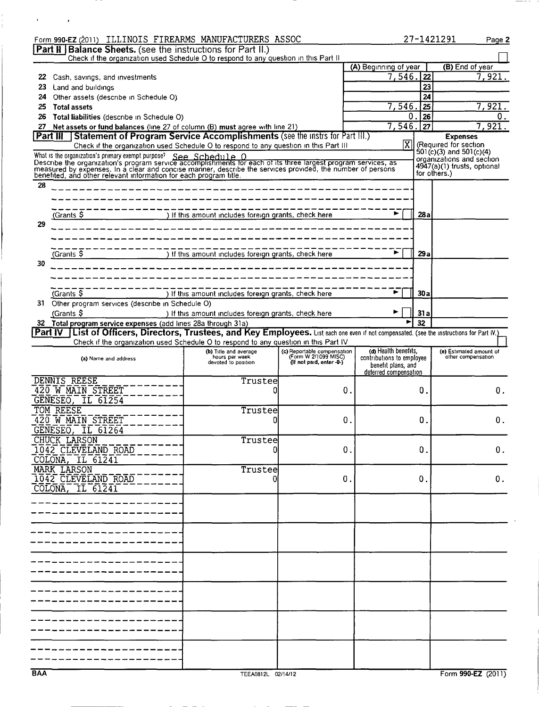|    | Form 990-EZ (2011) ILLINOIS FIREARMS MANUFACTURERS ASSOC                                                                                                                                                                            |                                                      |                                                                                 |                                             |                 | 27-1421291<br>Page 2                        |
|----|-------------------------------------------------------------------------------------------------------------------------------------------------------------------------------------------------------------------------------------|------------------------------------------------------|---------------------------------------------------------------------------------|---------------------------------------------|-----------------|---------------------------------------------|
|    | <b>Part II   Balance Sheets.</b> (see the instructions for Part II.)                                                                                                                                                                |                                                      |                                                                                 |                                             |                 |                                             |
|    | Check if the organization used Schedule O to respond to any question in this Part II                                                                                                                                                |                                                      |                                                                                 | (A) Beginning of year                       |                 | (B) End of year                             |
| 22 | Cash, savings, and investments                                                                                                                                                                                                      |                                                      |                                                                                 | 7,546.                                      | 22              | $\overline{7,921}$ .                        |
| 23 | Land and buildings                                                                                                                                                                                                                  |                                                      |                                                                                 |                                             | 23              |                                             |
| 24 |                                                                                                                                                                                                                                     |                                                      |                                                                                 |                                             | 24              |                                             |
|    | Other assets (describe in Schedule O)                                                                                                                                                                                               |                                                      |                                                                                 | 7,546.                                      |                 | 7,921.                                      |
| 25 | Total assets                                                                                                                                                                                                                        |                                                      |                                                                                 | 0.                                          | 25<br>26        |                                             |
| 26 | Total liabilities (describe in Schedule O)                                                                                                                                                                                          |                                                      |                                                                                 | 7,546.                                      | $\overline{27}$ | υ.<br>7,921                                 |
| 27 | Net assets or fund balances (line 27 of column (B) must agree with line 21)<br><b>Part III Statement of Program Service Accomplishments</b> (see the instrs for Part III.)                                                          |                                                      |                                                                                 |                                             |                 |                                             |
|    | Check if the organization used Schedule O to respond to any question in this Part III                                                                                                                                               |                                                      |                                                                                 | ΙX                                          |                 | <b>Expenses</b><br>(Required for section    |
|    |                                                                                                                                                                                                                                     |                                                      |                                                                                 |                                             |                 | $501(c)(3)$ and $501(c)(4)$                 |
|    |                                                                                                                                                                                                                                     |                                                      |                                                                                 |                                             |                 | organizations and section                   |
|    | What is the organization's primary exempt purpose? See Schedule 0<br>Describe the organization's program service accomplishments for each of its three largest program services, as<br>measured by expenses. In a clear and concise |                                                      |                                                                                 |                                             |                 | 4947(a)(1) trusts, optional<br>for others.) |
|    |                                                                                                                                                                                                                                     |                                                      |                                                                                 |                                             |                 |                                             |
| 28 |                                                                                                                                                                                                                                     |                                                      |                                                                                 |                                             |                 |                                             |
|    |                                                                                                                                                                                                                                     |                                                      |                                                                                 |                                             |                 |                                             |
|    |                                                                                                                                                                                                                                     |                                                      |                                                                                 |                                             |                 |                                             |
|    | (Grants \$                                                                                                                                                                                                                          | ) If this amount includes foreign grants, check here |                                                                                 |                                             | 28a             |                                             |
| 29 |                                                                                                                                                                                                                                     |                                                      |                                                                                 |                                             |                 |                                             |
|    |                                                                                                                                                                                                                                     |                                                      |                                                                                 |                                             |                 |                                             |
|    |                                                                                                                                                                                                                                     |                                                      |                                                                                 | ►                                           |                 |                                             |
|    | (Grants S                                                                                                                                                                                                                           | ) If this amount includes foreign grants, check here |                                                                                 |                                             | 29 a            |                                             |
| 30 |                                                                                                                                                                                                                                     |                                                      |                                                                                 |                                             |                 |                                             |
|    |                                                                                                                                                                                                                                     |                                                      |                                                                                 |                                             |                 |                                             |
|    |                                                                                                                                                                                                                                     |                                                      |                                                                                 |                                             |                 |                                             |
|    | $G$ rants $$$                                                                                                                                                                                                                       | ) If this amount includes foreign grants, check here |                                                                                 |                                             | 30a             |                                             |
|    | 31 Other program services (describe in Schedule O)                                                                                                                                                                                  |                                                      |                                                                                 |                                             |                 |                                             |
|    | (Grants \$                                                                                                                                                                                                                          | ) If this amount includes foreign grants, check here |                                                                                 |                                             | 31a             |                                             |
| 32 | Total program service expenses (add lines 28a through 31a)                                                                                                                                                                          |                                                      |                                                                                 |                                             | 32              |                                             |
|    | Part IV   List of Officers, Directors, Trustees, and Key Employees. List each one even if not compensated. (see the instructions for Part IV.)                                                                                      |                                                      |                                                                                 |                                             |                 |                                             |
|    | Check if the organization used Schedule O to respond to any question in this Part IV                                                                                                                                                |                                                      |                                                                                 |                                             |                 |                                             |
|    |                                                                                                                                                                                                                                     |                                                      |                                                                                 |                                             |                 |                                             |
|    |                                                                                                                                                                                                                                     | (b) Title and average                                |                                                                                 | (d) Health benefits,                        |                 | (e) Estimated amount of                     |
|    | (a) Name and address                                                                                                                                                                                                                | hours per week<br>devoted to position                | (c) Reportable compensation<br>(Form W 2/1099 MISC)<br>(If not paid, enter -0-) | contributions to employee                   |                 | other compensation                          |
|    |                                                                                                                                                                                                                                     |                                                      |                                                                                 | benefit plans, and<br>deferred compensation |                 |                                             |
|    | DENNIS REESE                                                                                                                                                                                                                        | Trustee                                              |                                                                                 |                                             |                 |                                             |
|    | 420 W MAIN STREET                                                                                                                                                                                                                   |                                                      | 0.                                                                              |                                             | 0.              | 0.                                          |
|    | GENESEO, IL 61254                                                                                                                                                                                                                   |                                                      |                                                                                 |                                             |                 |                                             |
|    | TOM REESE                                                                                                                                                                                                                           | Trustee                                              |                                                                                 |                                             |                 |                                             |
|    | 420 W MAIN STREET                                                                                                                                                                                                                   | กเ                                                   | O.                                                                              |                                             | 0               | 0                                           |
|    | GENESEO, IL 61264                                                                                                                                                                                                                   |                                                      |                                                                                 |                                             |                 |                                             |
|    | CHUCK LARSON                                                                                                                                                                                                                        | Trustee                                              |                                                                                 |                                             |                 |                                             |
|    |                                                                                                                                                                                                                                     |                                                      | $\mathbf 0$ .                                                                   |                                             | $\mathbf 0$ .   | 0.                                          |
|    | 1042 CLEVELAND ROAD                                                                                                                                                                                                                 |                                                      |                                                                                 |                                             |                 |                                             |
|    | COLONA, IL 61241                                                                                                                                                                                                                    |                                                      |                                                                                 |                                             |                 |                                             |
|    | <b>MARK LARSON</b>                                                                                                                                                                                                                  | Trustee                                              | $\mathbf 0$ .                                                                   |                                             | 0.              | 0.                                          |
|    | <b>1042 CLEVELAND ROAD</b><br>COLONA, IL 61241                                                                                                                                                                                      |                                                      |                                                                                 |                                             |                 |                                             |
|    |                                                                                                                                                                                                                                     |                                                      |                                                                                 |                                             |                 |                                             |
|    |                                                                                                                                                                                                                                     |                                                      |                                                                                 |                                             |                 |                                             |
|    |                                                                                                                                                                                                                                     |                                                      |                                                                                 |                                             |                 |                                             |
|    |                                                                                                                                                                                                                                     |                                                      |                                                                                 |                                             |                 |                                             |
|    |                                                                                                                                                                                                                                     |                                                      |                                                                                 |                                             |                 |                                             |
|    |                                                                                                                                                                                                                                     |                                                      |                                                                                 |                                             |                 |                                             |
|    |                                                                                                                                                                                                                                     |                                                      |                                                                                 |                                             |                 |                                             |
|    |                                                                                                                                                                                                                                     |                                                      |                                                                                 |                                             |                 |                                             |
|    |                                                                                                                                                                                                                                     |                                                      |                                                                                 |                                             |                 |                                             |
|    |                                                                                                                                                                                                                                     |                                                      |                                                                                 |                                             |                 |                                             |
|    |                                                                                                                                                                                                                                     |                                                      |                                                                                 |                                             |                 |                                             |
|    |                                                                                                                                                                                                                                     |                                                      |                                                                                 |                                             |                 |                                             |
|    |                                                                                                                                                                                                                                     |                                                      |                                                                                 |                                             |                 |                                             |
|    |                                                                                                                                                                                                                                     |                                                      |                                                                                 |                                             |                 |                                             |
|    |                                                                                                                                                                                                                                     |                                                      |                                                                                 |                                             |                 |                                             |
|    |                                                                                                                                                                                                                                     |                                                      |                                                                                 |                                             |                 |                                             |
|    |                                                                                                                                                                                                                                     |                                                      |                                                                                 |                                             |                 |                                             |

 $\begin{array}{c} 1 \\ 1 \\ 1 \end{array}$ 

 $\bar{z}$ 

 $\lambda$ 

—————————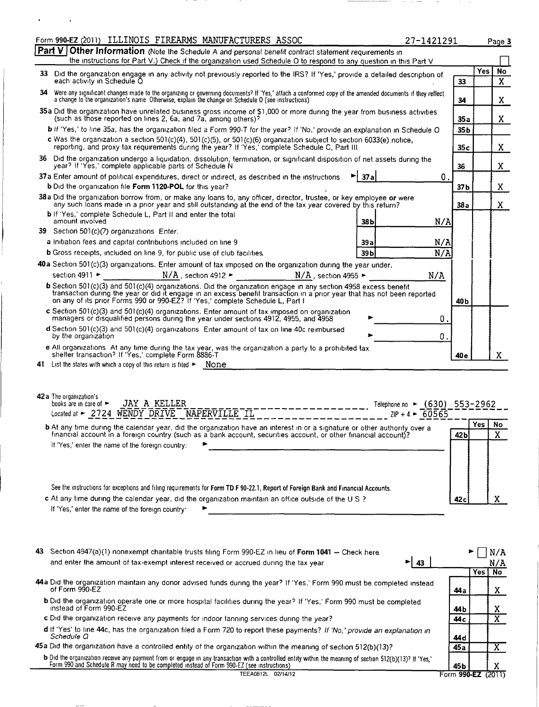| Form 990-EZ (2011) ILLINOIS FIREARMS MANUFACTURERS ASSOC                                                                                                                                                                                                                                                                                                                                                                                                                                                                                                                                                                                                                                     | 27-1421291                                              |                 |     | Page 3               |
|----------------------------------------------------------------------------------------------------------------------------------------------------------------------------------------------------------------------------------------------------------------------------------------------------------------------------------------------------------------------------------------------------------------------------------------------------------------------------------------------------------------------------------------------------------------------------------------------------------------------------------------------------------------------------------------------|---------------------------------------------------------|-----------------|-----|----------------------|
| Part V   Other Information (Note the Schedule A and personal benefit contract statement requirements in<br>the instructions for Part V.) Check if the organization used Schedule O to respond to any question in this Part V                                                                                                                                                                                                                                                                                                                                                                                                                                                                 |                                                         |                 |     |                      |
| 33 Did the organization engage in any activity not previously reported to the IRS? If 'Yes,' provide a detailed description of                                                                                                                                                                                                                                                                                                                                                                                                                                                                                                                                                               |                                                         |                 | Yes | No                   |
| each activity in Schedule O                                                                                                                                                                                                                                                                                                                                                                                                                                                                                                                                                                                                                                                                  |                                                         | 33              |     | X                    |
| 34 Were any significant changes made to the organizing or governing documents? If 'Yes,' attach a conformed copy of the amended documents if they reflect a change to the organization's name Otherwise, explain the change on                                                                                                                                                                                                                                                                                                                                                                                                                                                               |                                                         | 34              |     | x                    |
| 35a Did the organization have unrelated business gross income of \$1,000 or more during the year from business activities<br>(such as those reported on lines 2, 6a, and 7a, among others)?                                                                                                                                                                                                                                                                                                                                                                                                                                                                                                  |                                                         | 35 a            |     | X.                   |
| b if 'Yes,' to line 35a, has the organization filed a Form 990-T for the year? If 'No,' provide an explanation in Schedule O                                                                                                                                                                                                                                                                                                                                                                                                                                                                                                                                                                 |                                                         | 35 <sub>b</sub> |     |                      |
| c Was the organization a section 501(c)(4), 501(c)(5), or 501(c)(6) organization subject to section 6033(e) notice,<br>reporting, and proxy tax requirements during the year? If 'Yes,' complete Schedule C, Part III                                                                                                                                                                                                                                                                                                                                                                                                                                                                        |                                                         | 35c             |     | X                    |
| 36 Did the organization undergo a liquidation, dissolution, termination, or significant disposition of net assets during the year <sup>2</sup> If 'Yes,' complete applicable parts of Schedule N                                                                                                                                                                                                                                                                                                                                                                                                                                                                                             |                                                         | 36              |     | X                    |
| 37a Enter amount of political expenditures, direct or indirect, as described in the instructions                                                                                                                                                                                                                                                                                                                                                                                                                                                                                                                                                                                             | 37a<br>0.                                               |                 |     |                      |
| <b>b</b> Did the organization file Form 1120-POL for this year?                                                                                                                                                                                                                                                                                                                                                                                                                                                                                                                                                                                                                              |                                                         | 37 b            |     | X                    |
| 38a Did the organization borrow from, or make any loans to, any officer, director, trustee, or key employee or were<br>any such loans made in a prior year and still outstanding at the end of the tax year covered by this return?                                                                                                                                                                                                                                                                                                                                                                                                                                                          |                                                         | 38a             |     | X.                   |
| <b>b</b> If 'Yes,' complete Schedule L, Part II and enter the total<br>amount involved                                                                                                                                                                                                                                                                                                                                                                                                                                                                                                                                                                                                       | N/A<br>38 b                                             |                 |     |                      |
| 39 Section 501(c)(7) organizations Enter.                                                                                                                                                                                                                                                                                                                                                                                                                                                                                                                                                                                                                                                    |                                                         |                 |     |                      |
| a Initiation fees and capital contributions included on line 9                                                                                                                                                                                                                                                                                                                                                                                                                                                                                                                                                                                                                               | N/A<br>39 a                                             |                 |     |                      |
| <b>b</b> Gross receipts, included on line 9, for public use of club facilities.                                                                                                                                                                                                                                                                                                                                                                                                                                                                                                                                                                                                              | N/A<br>39b                                              |                 |     |                      |
| 40a Section 501(c)(3) organizations. Enter amount of tax imposed on the organization during the year under.                                                                                                                                                                                                                                                                                                                                                                                                                                                                                                                                                                                  |                                                         |                 |     |                      |
| section 4911 ►<br>$N/A$ , section 4912 $\blacktriangleright$<br>$N/A$ , section 4955 $\blacktriangleright$                                                                                                                                                                                                                                                                                                                                                                                                                                                                                                                                                                                   | N/A                                                     |                 |     |                      |
| b Section 501(c)(3) and 501(c)(4) organizations. Did the organization engage in any section 4958 excess benefit<br>transaction during the year or did it engage in an excess benefit transaction in a prior year that has not been reported<br>on any of its prior Forms 990 or 990-EZ? If 'Yes,' complete Schedule L, Part I                                                                                                                                                                                                                                                                                                                                                                |                                                         | 40 <sub>b</sub> |     |                      |
| c Section 501(c)(3) and 501(c)(4) organizations. Enter amount of tax imposed on organization<br>managers or disqualified persons during the year under sections 4912, 4955, and 4958                                                                                                                                                                                                                                                                                                                                                                                                                                                                                                         | 0.                                                      |                 |     |                      |
| d Section 501(c)(3) and 501(c)(4) organizations Enter amount of tax on line 40c reimbursed<br>by the organization                                                                                                                                                                                                                                                                                                                                                                                                                                                                                                                                                                            | 0.                                                      |                 |     |                      |
| e All organizations At any time during the tax year, was the organization a party to a prohibited tax<br>shelter transaction? If 'Yes,' complete Form 8886-T                                                                                                                                                                                                                                                                                                                                                                                                                                                                                                                                 |                                                         | 40 e            |     | X                    |
| 41 List the states with which a copy of this return is filed $\blacktriangleright$<br>None                                                                                                                                                                                                                                                                                                                                                                                                                                                                                                                                                                                                   |                                                         |                 |     |                      |
| 42a The organization's<br>JAY A KELLER<br>books are in care of $\blacktriangleright$<br>Located at $\sim 2724$ WENDY DRIVE<br>NAPERVILLE IL<br>b At any time during the calendar year, did the organization have an interest in or a signature or other authority over a<br>financial account in a foreign country (such as a bank account, securities account, or other financial account)?<br>If 'Yes,' enter the name of the foreign country:<br>See the instructions for exceptions and filing requirements for Form TD F 90-22.1, Report of Foreign Bank and Financial Accounts.<br>c At any time during the calendar year, did the organization maintain an office outside of the U S? | Telephone no ► (630) 553-2962<br>$2IP + 4$ $\sim$ 60565 | 42 b<br>42c     | Yes | <b>NO</b><br>X<br>X. |
| If 'Yes,' enter the name of the foreign country.<br>▶                                                                                                                                                                                                                                                                                                                                                                                                                                                                                                                                                                                                                                        |                                                         |                 |     |                      |
|                                                                                                                                                                                                                                                                                                                                                                                                                                                                                                                                                                                                                                                                                              |                                                         |                 |     |                      |

 $\epsilon$ 

 $\overline{\phantom{a}}$ 

 $\mathbf{r}$ 

\_\_\_\_\_\_\_

 $\sim$ 

| 43 Section 4947(a)(1) nonexempt charitable trusts filing Form 990-EZ in lieu of Form 1041 - Check here<br>$\blacktriangleright$ 43<br>and enter the amount of tax-exempt interest received or accrued during the tax year                               |             |       | N/A<br>N/A |
|---------------------------------------------------------------------------------------------------------------------------------------------------------------------------------------------------------------------------------------------------------|-------------|-------|------------|
|                                                                                                                                                                                                                                                         |             | Yes l | No         |
| 44a Did the organization maintain any donor advised funds during the year? If 'Yes,' Form 990 must be completed instead<br>of Form 990-EZ                                                                                                               | 44 а        |       | $\Lambda$  |
| <b>b</b> Did the organization operate one or more hospital facilities during the year? If 'Yes,' Form 990 must be completed<br>instead of Form 990-EZ                                                                                                   | 44 b        |       |            |
| c Did the organization receive any payments for indoor tanning services during the year?                                                                                                                                                                | 44 c        |       |            |
| d If 'Yes' to line 44c, has the organization filed a Form 720 to report these payments? If 'No,' provide an explanation in<br>Schedule O                                                                                                                | 44 d        |       |            |
| 45a Did the organization have a controlled entity of the organization within the meaning of section 512(b)(13)?                                                                                                                                         | 45a         |       |            |
| b Did the organization receive any payment from or engage in any transaction with a controlled entity within the meaning of section 512(b)(13)? If 'Yes,'<br>Form 990 and Schedule R may need to be completed instead of Form 990-EZ (see instructions) | 45Ь         |       | v          |
| 02/14/12<br>TEEA0812L                                                                                                                                                                                                                                   | Form 990-EZ |       | (2011)     |

orm 990-EZ (2011)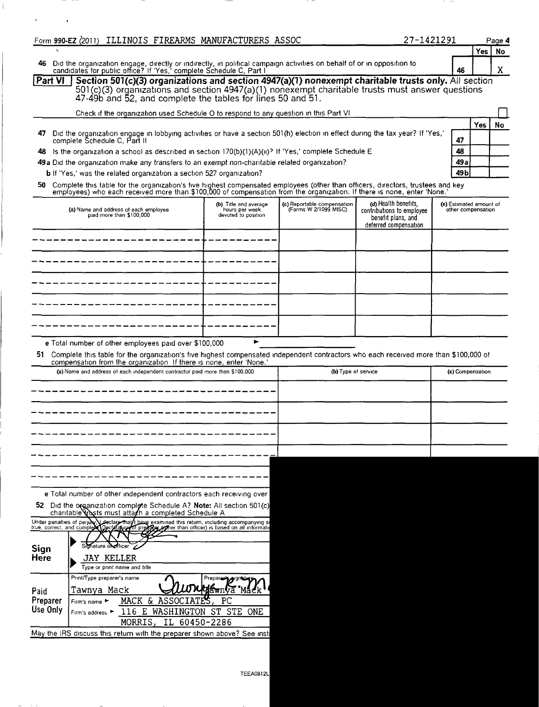| Did the organization engage, directly or indirectly, in political campaign activities on behalf of or in opposition to<br>candidates for public office? If 'Yes,' complete Schedule C, Part I<br>46<br>Section 501(c)(3) organizations and section 4947(a)(1) nonexempt charitable trusts only. All section<br>$Part VI$ $\vdash$<br>501(c)(3) organizations and section 4947(a)(1) nonexempt charitable trusts must answer questions<br>47-49b and 52, and complete the tables for lines 50 and 51.<br>Check if the organization used Schedule O to respond to any question in this Part VI<br>Did the organization engage in lobbying activities or have a section 501(h) election in effect during the tax year? If 'Yes,'<br>47<br>complete Schedule C, Part II<br>Is the organization a school as described in section $170(b)(1)(A)(u)^{2}$ If 'Yes,' complete Schedule E<br>48<br>49a Did the organization make any transfers to an exempt non-charitable related organization?<br><b>b</b> If 'Yes,' was the related organization a section 527 organization?<br>50 Complete this table for the organization's five highest compensated employees (other than officers, directors, trustees and key employees) who each received more than \$100,000 of compensation from the organization. If t<br>(b) Title and average<br>hours per week<br>(a) Name and address of each employee<br>paid more than \$100,000<br>devoted to position.<br>e Total number of other employees paid over \$100,000<br>51 Complete this table for the organization's five highest compensated independent contractors who each received more than \$100,000 of<br>compensation from the organization If there is none, enter 'None.'<br>(a) Name and address of each independent contractor paid more than \$100,000<br>e Total number of other independent contractors each receiving over | (c) Reportable compensation<br>(Forms W 2/1099 MISC) | (d) Health benefits,<br>contributions to employee<br>benefit plans, and<br>deferred compensation | 46<br>47<br>48<br>49a<br>49b<br>(e) Estimated amount of<br>other compensation | Yes   No<br>X<br>Yes<br>No |
|-----------------------------------------------------------------------------------------------------------------------------------------------------------------------------------------------------------------------------------------------------------------------------------------------------------------------------------------------------------------------------------------------------------------------------------------------------------------------------------------------------------------------------------------------------------------------------------------------------------------------------------------------------------------------------------------------------------------------------------------------------------------------------------------------------------------------------------------------------------------------------------------------------------------------------------------------------------------------------------------------------------------------------------------------------------------------------------------------------------------------------------------------------------------------------------------------------------------------------------------------------------------------------------------------------------------------------------------------------------------------------------------------------------------------------------------------------------------------------------------------------------------------------------------------------------------------------------------------------------------------------------------------------------------------------------------------------------------------------------------------------------------------------------------------------------------------------------------------------------------------------------|------------------------------------------------------|--------------------------------------------------------------------------------------------------|-------------------------------------------------------------------------------|----------------------------|
|                                                                                                                                                                                                                                                                                                                                                                                                                                                                                                                                                                                                                                                                                                                                                                                                                                                                                                                                                                                                                                                                                                                                                                                                                                                                                                                                                                                                                                                                                                                                                                                                                                                                                                                                                                                                                                                                                   |                                                      |                                                                                                  |                                                                               |                            |
|                                                                                                                                                                                                                                                                                                                                                                                                                                                                                                                                                                                                                                                                                                                                                                                                                                                                                                                                                                                                                                                                                                                                                                                                                                                                                                                                                                                                                                                                                                                                                                                                                                                                                                                                                                                                                                                                                   |                                                      |                                                                                                  |                                                                               |                            |
|                                                                                                                                                                                                                                                                                                                                                                                                                                                                                                                                                                                                                                                                                                                                                                                                                                                                                                                                                                                                                                                                                                                                                                                                                                                                                                                                                                                                                                                                                                                                                                                                                                                                                                                                                                                                                                                                                   |                                                      |                                                                                                  |                                                                               |                            |
|                                                                                                                                                                                                                                                                                                                                                                                                                                                                                                                                                                                                                                                                                                                                                                                                                                                                                                                                                                                                                                                                                                                                                                                                                                                                                                                                                                                                                                                                                                                                                                                                                                                                                                                                                                                                                                                                                   |                                                      |                                                                                                  |                                                                               |                            |
|                                                                                                                                                                                                                                                                                                                                                                                                                                                                                                                                                                                                                                                                                                                                                                                                                                                                                                                                                                                                                                                                                                                                                                                                                                                                                                                                                                                                                                                                                                                                                                                                                                                                                                                                                                                                                                                                                   |                                                      |                                                                                                  |                                                                               |                            |
|                                                                                                                                                                                                                                                                                                                                                                                                                                                                                                                                                                                                                                                                                                                                                                                                                                                                                                                                                                                                                                                                                                                                                                                                                                                                                                                                                                                                                                                                                                                                                                                                                                                                                                                                                                                                                                                                                   |                                                      |                                                                                                  |                                                                               |                            |
|                                                                                                                                                                                                                                                                                                                                                                                                                                                                                                                                                                                                                                                                                                                                                                                                                                                                                                                                                                                                                                                                                                                                                                                                                                                                                                                                                                                                                                                                                                                                                                                                                                                                                                                                                                                                                                                                                   |                                                      |                                                                                                  |                                                                               |                            |
|                                                                                                                                                                                                                                                                                                                                                                                                                                                                                                                                                                                                                                                                                                                                                                                                                                                                                                                                                                                                                                                                                                                                                                                                                                                                                                                                                                                                                                                                                                                                                                                                                                                                                                                                                                                                                                                                                   |                                                      |                                                                                                  |                                                                               |                            |
|                                                                                                                                                                                                                                                                                                                                                                                                                                                                                                                                                                                                                                                                                                                                                                                                                                                                                                                                                                                                                                                                                                                                                                                                                                                                                                                                                                                                                                                                                                                                                                                                                                                                                                                                                                                                                                                                                   |                                                      |                                                                                                  |                                                                               |                            |
|                                                                                                                                                                                                                                                                                                                                                                                                                                                                                                                                                                                                                                                                                                                                                                                                                                                                                                                                                                                                                                                                                                                                                                                                                                                                                                                                                                                                                                                                                                                                                                                                                                                                                                                                                                                                                                                                                   |                                                      |                                                                                                  |                                                                               |                            |
|                                                                                                                                                                                                                                                                                                                                                                                                                                                                                                                                                                                                                                                                                                                                                                                                                                                                                                                                                                                                                                                                                                                                                                                                                                                                                                                                                                                                                                                                                                                                                                                                                                                                                                                                                                                                                                                                                   |                                                      |                                                                                                  |                                                                               |                            |
|                                                                                                                                                                                                                                                                                                                                                                                                                                                                                                                                                                                                                                                                                                                                                                                                                                                                                                                                                                                                                                                                                                                                                                                                                                                                                                                                                                                                                                                                                                                                                                                                                                                                                                                                                                                                                                                                                   |                                                      |                                                                                                  |                                                                               |                            |
|                                                                                                                                                                                                                                                                                                                                                                                                                                                                                                                                                                                                                                                                                                                                                                                                                                                                                                                                                                                                                                                                                                                                                                                                                                                                                                                                                                                                                                                                                                                                                                                                                                                                                                                                                                                                                                                                                   |                                                      |                                                                                                  |                                                                               |                            |
|                                                                                                                                                                                                                                                                                                                                                                                                                                                                                                                                                                                                                                                                                                                                                                                                                                                                                                                                                                                                                                                                                                                                                                                                                                                                                                                                                                                                                                                                                                                                                                                                                                                                                                                                                                                                                                                                                   |                                                      |                                                                                                  |                                                                               |                            |
|                                                                                                                                                                                                                                                                                                                                                                                                                                                                                                                                                                                                                                                                                                                                                                                                                                                                                                                                                                                                                                                                                                                                                                                                                                                                                                                                                                                                                                                                                                                                                                                                                                                                                                                                                                                                                                                                                   |                                                      |                                                                                                  |                                                                               |                            |
|                                                                                                                                                                                                                                                                                                                                                                                                                                                                                                                                                                                                                                                                                                                                                                                                                                                                                                                                                                                                                                                                                                                                                                                                                                                                                                                                                                                                                                                                                                                                                                                                                                                                                                                                                                                                                                                                                   |                                                      |                                                                                                  |                                                                               |                            |
|                                                                                                                                                                                                                                                                                                                                                                                                                                                                                                                                                                                                                                                                                                                                                                                                                                                                                                                                                                                                                                                                                                                                                                                                                                                                                                                                                                                                                                                                                                                                                                                                                                                                                                                                                                                                                                                                                   |                                                      |                                                                                                  |                                                                               |                            |
|                                                                                                                                                                                                                                                                                                                                                                                                                                                                                                                                                                                                                                                                                                                                                                                                                                                                                                                                                                                                                                                                                                                                                                                                                                                                                                                                                                                                                                                                                                                                                                                                                                                                                                                                                                                                                                                                                   |                                                      |                                                                                                  |                                                                               |                            |
|                                                                                                                                                                                                                                                                                                                                                                                                                                                                                                                                                                                                                                                                                                                                                                                                                                                                                                                                                                                                                                                                                                                                                                                                                                                                                                                                                                                                                                                                                                                                                                                                                                                                                                                                                                                                                                                                                   |                                                      |                                                                                                  |                                                                               |                            |
|                                                                                                                                                                                                                                                                                                                                                                                                                                                                                                                                                                                                                                                                                                                                                                                                                                                                                                                                                                                                                                                                                                                                                                                                                                                                                                                                                                                                                                                                                                                                                                                                                                                                                                                                                                                                                                                                                   |                                                      |                                                                                                  |                                                                               |                            |
|                                                                                                                                                                                                                                                                                                                                                                                                                                                                                                                                                                                                                                                                                                                                                                                                                                                                                                                                                                                                                                                                                                                                                                                                                                                                                                                                                                                                                                                                                                                                                                                                                                                                                                                                                                                                                                                                                   |                                                      |                                                                                                  |                                                                               |                            |
|                                                                                                                                                                                                                                                                                                                                                                                                                                                                                                                                                                                                                                                                                                                                                                                                                                                                                                                                                                                                                                                                                                                                                                                                                                                                                                                                                                                                                                                                                                                                                                                                                                                                                                                                                                                                                                                                                   |                                                      |                                                                                                  |                                                                               |                            |
|                                                                                                                                                                                                                                                                                                                                                                                                                                                                                                                                                                                                                                                                                                                                                                                                                                                                                                                                                                                                                                                                                                                                                                                                                                                                                                                                                                                                                                                                                                                                                                                                                                                                                                                                                                                                                                                                                   |                                                      |                                                                                                  |                                                                               |                            |
|                                                                                                                                                                                                                                                                                                                                                                                                                                                                                                                                                                                                                                                                                                                                                                                                                                                                                                                                                                                                                                                                                                                                                                                                                                                                                                                                                                                                                                                                                                                                                                                                                                                                                                                                                                                                                                                                                   |                                                      |                                                                                                  |                                                                               |                            |
|                                                                                                                                                                                                                                                                                                                                                                                                                                                                                                                                                                                                                                                                                                                                                                                                                                                                                                                                                                                                                                                                                                                                                                                                                                                                                                                                                                                                                                                                                                                                                                                                                                                                                                                                                                                                                                                                                   |                                                      |                                                                                                  |                                                                               |                            |
|                                                                                                                                                                                                                                                                                                                                                                                                                                                                                                                                                                                                                                                                                                                                                                                                                                                                                                                                                                                                                                                                                                                                                                                                                                                                                                                                                                                                                                                                                                                                                                                                                                                                                                                                                                                                                                                                                   | (b) Type of service                                  |                                                                                                  | (c) Compensation                                                              |                            |
|                                                                                                                                                                                                                                                                                                                                                                                                                                                                                                                                                                                                                                                                                                                                                                                                                                                                                                                                                                                                                                                                                                                                                                                                                                                                                                                                                                                                                                                                                                                                                                                                                                                                                                                                                                                                                                                                                   |                                                      |                                                                                                  |                                                                               |                            |
|                                                                                                                                                                                                                                                                                                                                                                                                                                                                                                                                                                                                                                                                                                                                                                                                                                                                                                                                                                                                                                                                                                                                                                                                                                                                                                                                                                                                                                                                                                                                                                                                                                                                                                                                                                                                                                                                                   |                                                      |                                                                                                  |                                                                               |                            |
|                                                                                                                                                                                                                                                                                                                                                                                                                                                                                                                                                                                                                                                                                                                                                                                                                                                                                                                                                                                                                                                                                                                                                                                                                                                                                                                                                                                                                                                                                                                                                                                                                                                                                                                                                                                                                                                                                   |                                                      |                                                                                                  |                                                                               |                            |
|                                                                                                                                                                                                                                                                                                                                                                                                                                                                                                                                                                                                                                                                                                                                                                                                                                                                                                                                                                                                                                                                                                                                                                                                                                                                                                                                                                                                                                                                                                                                                                                                                                                                                                                                                                                                                                                                                   |                                                      |                                                                                                  |                                                                               |                            |
|                                                                                                                                                                                                                                                                                                                                                                                                                                                                                                                                                                                                                                                                                                                                                                                                                                                                                                                                                                                                                                                                                                                                                                                                                                                                                                                                                                                                                                                                                                                                                                                                                                                                                                                                                                                                                                                                                   |                                                      |                                                                                                  |                                                                               |                            |
|                                                                                                                                                                                                                                                                                                                                                                                                                                                                                                                                                                                                                                                                                                                                                                                                                                                                                                                                                                                                                                                                                                                                                                                                                                                                                                                                                                                                                                                                                                                                                                                                                                                                                                                                                                                                                                                                                   |                                                      |                                                                                                  |                                                                               |                            |
|                                                                                                                                                                                                                                                                                                                                                                                                                                                                                                                                                                                                                                                                                                                                                                                                                                                                                                                                                                                                                                                                                                                                                                                                                                                                                                                                                                                                                                                                                                                                                                                                                                                                                                                                                                                                                                                                                   |                                                      |                                                                                                  |                                                                               |                            |
|                                                                                                                                                                                                                                                                                                                                                                                                                                                                                                                                                                                                                                                                                                                                                                                                                                                                                                                                                                                                                                                                                                                                                                                                                                                                                                                                                                                                                                                                                                                                                                                                                                                                                                                                                                                                                                                                                   |                                                      |                                                                                                  |                                                                               |                            |
|                                                                                                                                                                                                                                                                                                                                                                                                                                                                                                                                                                                                                                                                                                                                                                                                                                                                                                                                                                                                                                                                                                                                                                                                                                                                                                                                                                                                                                                                                                                                                                                                                                                                                                                                                                                                                                                                                   |                                                      |                                                                                                  |                                                                               |                            |
|                                                                                                                                                                                                                                                                                                                                                                                                                                                                                                                                                                                                                                                                                                                                                                                                                                                                                                                                                                                                                                                                                                                                                                                                                                                                                                                                                                                                                                                                                                                                                                                                                                                                                                                                                                                                                                                                                   |                                                      |                                                                                                  |                                                                               |                            |
| 52 Did the organization complete Schedule A? Note: All section 501(c)                                                                                                                                                                                                                                                                                                                                                                                                                                                                                                                                                                                                                                                                                                                                                                                                                                                                                                                                                                                                                                                                                                                                                                                                                                                                                                                                                                                                                                                                                                                                                                                                                                                                                                                                                                                                             |                                                      |                                                                                                  |                                                                               |                            |
| charitable wasts must attach a completed Schedule A                                                                                                                                                                                                                                                                                                                                                                                                                                                                                                                                                                                                                                                                                                                                                                                                                                                                                                                                                                                                                                                                                                                                                                                                                                                                                                                                                                                                                                                                                                                                                                                                                                                                                                                                                                                                                               |                                                      |                                                                                                  |                                                                               |                            |
| Under penalties of perjudy. I declare that I have examined this return, including accompanying so true, correct, and complex (Declare the Person I detection of the state of all information                                                                                                                                                                                                                                                                                                                                                                                                                                                                                                                                                                                                                                                                                                                                                                                                                                                                                                                                                                                                                                                                                                                                                                                                                                                                                                                                                                                                                                                                                                                                                                                                                                                                                      |                                                      |                                                                                                  |                                                                               |                            |
| Signature of officer                                                                                                                                                                                                                                                                                                                                                                                                                                                                                                                                                                                                                                                                                                                                                                                                                                                                                                                                                                                                                                                                                                                                                                                                                                                                                                                                                                                                                                                                                                                                                                                                                                                                                                                                                                                                                                                              |                                                      |                                                                                                  |                                                                               |                            |
| Sign<br>Here<br><b>JAY KELLER</b>                                                                                                                                                                                                                                                                                                                                                                                                                                                                                                                                                                                                                                                                                                                                                                                                                                                                                                                                                                                                                                                                                                                                                                                                                                                                                                                                                                                                                                                                                                                                                                                                                                                                                                                                                                                                                                                 |                                                      |                                                                                                  |                                                                               |                            |
| Type or print name and title                                                                                                                                                                                                                                                                                                                                                                                                                                                                                                                                                                                                                                                                                                                                                                                                                                                                                                                                                                                                                                                                                                                                                                                                                                                                                                                                                                                                                                                                                                                                                                                                                                                                                                                                                                                                                                                      |                                                      |                                                                                                  |                                                                               |                            |
| Print/Type preparer's name<br>Prepare by ground                                                                                                                                                                                                                                                                                                                                                                                                                                                                                                                                                                                                                                                                                                                                                                                                                                                                                                                                                                                                                                                                                                                                                                                                                                                                                                                                                                                                                                                                                                                                                                                                                                                                                                                                                                                                                                   |                                                      |                                                                                                  |                                                                               |                            |
| <b>usw</b> nya<br>Tawnya Mack<br>Paid                                                                                                                                                                                                                                                                                                                                                                                                                                                                                                                                                                                                                                                                                                                                                                                                                                                                                                                                                                                                                                                                                                                                                                                                                                                                                                                                                                                                                                                                                                                                                                                                                                                                                                                                                                                                                                             |                                                      |                                                                                                  |                                                                               |                            |
| Preparer<br>ASSOC<br>MACK<br>ିଙ୍<br>РC<br>Firm's name ▶                                                                                                                                                                                                                                                                                                                                                                                                                                                                                                                                                                                                                                                                                                                                                                                                                                                                                                                                                                                                                                                                                                                                                                                                                                                                                                                                                                                                                                                                                                                                                                                                                                                                                                                                                                                                                           |                                                      |                                                                                                  |                                                                               |                            |
| Use Only<br>Е<br>WASHINGTON<br>ST<br>STE ONE<br>116<br>Firm's address P                                                                                                                                                                                                                                                                                                                                                                                                                                                                                                                                                                                                                                                                                                                                                                                                                                                                                                                                                                                                                                                                                                                                                                                                                                                                                                                                                                                                                                                                                                                                                                                                                                                                                                                                                                                                           |                                                      |                                                                                                  |                                                                               |                            |
| MORRIS<br>IL 60450-2286                                                                                                                                                                                                                                                                                                                                                                                                                                                                                                                                                                                                                                                                                                                                                                                                                                                                                                                                                                                                                                                                                                                                                                                                                                                                                                                                                                                                                                                                                                                                                                                                                                                                                                                                                                                                                                                           |                                                      |                                                                                                  |                                                                               |                            |
| May the IRS discuss this return with the preparer shown above? See insti                                                                                                                                                                                                                                                                                                                                                                                                                                                                                                                                                                                                                                                                                                                                                                                                                                                                                                                                                                                                                                                                                                                                                                                                                                                                                                                                                                                                                                                                                                                                                                                                                                                                                                                                                                                                          |                                                      |                                                                                                  |                                                                               |                            |

 $\overline{\phantom{a}}$ 

**TO THE** 

 $\mathbf{L}$ 

 $\mathcal{L}^{\pm}$ 

 $\Delta \omega_{\rm{eff}}$  and  $\Delta \omega_{\rm{eff}}$ 

 $\sim$   $\sim$ 

 $\sim 10^{11}$  km  $^{-1}$ 

**TEEA0812L**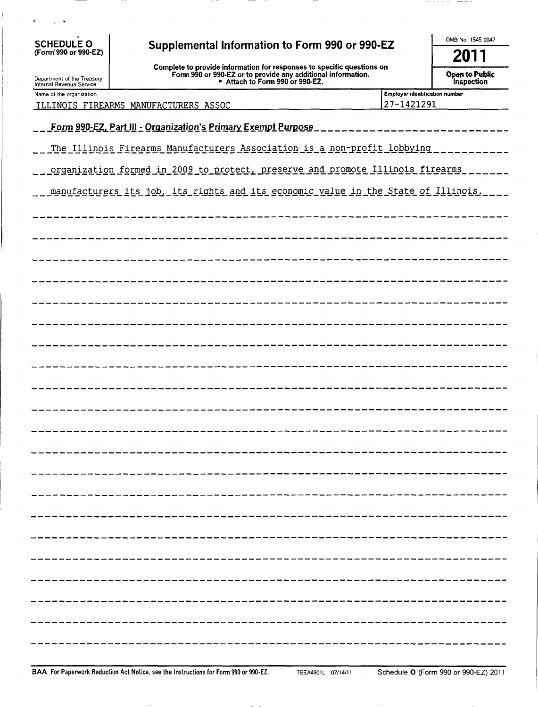| $\bullet$                                              |                                                                                                                              |                                              |  |  |  |  |  |
|--------------------------------------------------------|------------------------------------------------------------------------------------------------------------------------------|----------------------------------------------|--|--|--|--|--|
| <b>SCHEDULE O</b><br>(Form'990 or 990-EZ)              | Supplemental Information to Form 990 or 990-EZ                                                                               | OMB No 1545 0047                             |  |  |  |  |  |
|                                                        | Complete to provide information for responses to specific questions on                                                       | 2011                                         |  |  |  |  |  |
| Department of the Treasury<br>Internal Revenue Service | Form 990 or 990-EZ or to provide any additional information.<br>Form 990 or 990-EZ or to provide any additional information. | <b>Open to Public</b><br>Inspection          |  |  |  |  |  |
| Name of the organization                               | ILLINOIS FIREARMS MANUFACTURERS ASSOC                                                                                        | Employer identification number<br>27-1421291 |  |  |  |  |  |
|                                                        | Form 990-EZ, Part III - Organization's Primary Exempt Purpose                                                                |                                              |  |  |  |  |  |
|                                                        | The Illinois Firearms Manufacturers Association is a non-profit lobbying                                                     |                                              |  |  |  |  |  |
|                                                        | organization formed in 2009 to protect, preserve and promote Illinois firearms.                                              |                                              |  |  |  |  |  |
|                                                        | manufacturers its job, its rights and its economic value in the State of Illinois.                                           |                                              |  |  |  |  |  |
|                                                        |                                                                                                                              |                                              |  |  |  |  |  |
|                                                        |                                                                                                                              |                                              |  |  |  |  |  |
|                                                        |                                                                                                                              |                                              |  |  |  |  |  |
|                                                        |                                                                                                                              |                                              |  |  |  |  |  |
|                                                        |                                                                                                                              |                                              |  |  |  |  |  |
|                                                        |                                                                                                                              |                                              |  |  |  |  |  |
|                                                        |                                                                                                                              |                                              |  |  |  |  |  |
|                                                        |                                                                                                                              |                                              |  |  |  |  |  |
|                                                        |                                                                                                                              |                                              |  |  |  |  |  |
|                                                        |                                                                                                                              |                                              |  |  |  |  |  |
|                                                        |                                                                                                                              |                                              |  |  |  |  |  |
|                                                        |                                                                                                                              |                                              |  |  |  |  |  |
|                                                        |                                                                                                                              |                                              |  |  |  |  |  |
|                                                        |                                                                                                                              |                                              |  |  |  |  |  |
|                                                        |                                                                                                                              |                                              |  |  |  |  |  |
|                                                        |                                                                                                                              |                                              |  |  |  |  |  |
|                                                        |                                                                                                                              |                                              |  |  |  |  |  |
|                                                        |                                                                                                                              |                                              |  |  |  |  |  |
|                                                        |                                                                                                                              |                                              |  |  |  |  |  |
|                                                        |                                                                                                                              |                                              |  |  |  |  |  |
|                                                        |                                                                                                                              |                                              |  |  |  |  |  |

 $-$ 

 $-$ 

----- ---